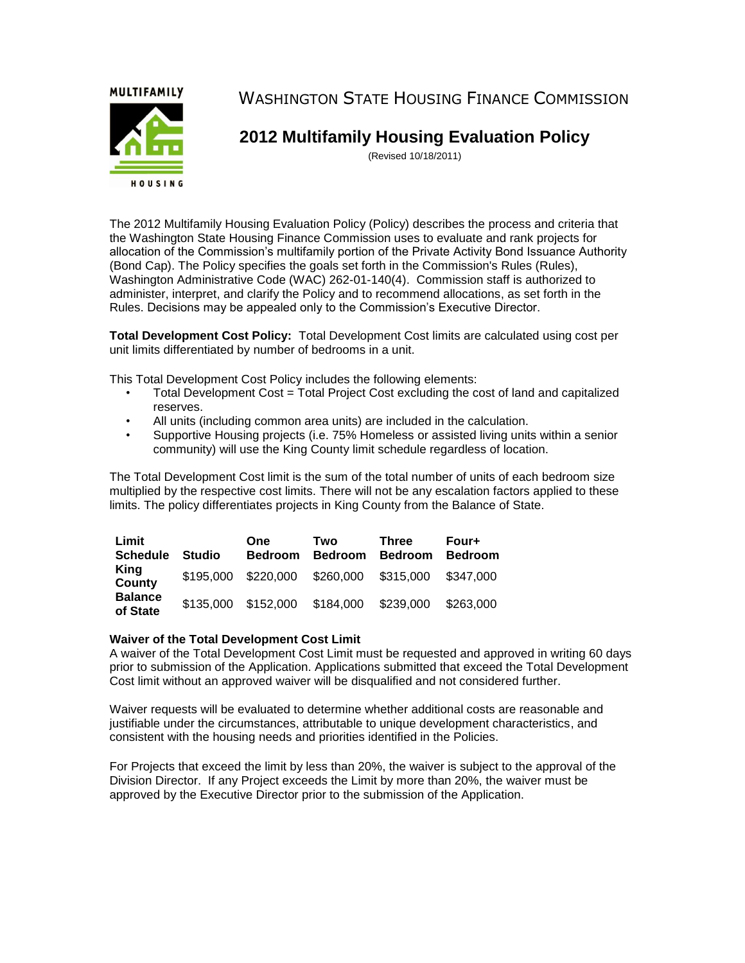**MULTIFAMILY** 



WASHINGTON STATE HOUSING FINANCE COMMISSION

# **2012 Multifamily Housing Evaluation Policy**

(Revised 10/18/2011)

The 2012 Multifamily Housing Evaluation Policy (Policy) describes the process and criteria that the Washington State Housing Finance Commission uses to evaluate and rank projects for allocation of the Commission's multifamily portion of the Private Activity Bond Issuance Authority (Bond Cap). The Policy specifies the goals set forth in the Commission's Rules (Rules), Washington Administrative Code (WAC) 262-01-140(4). Commission staff is authorized to administer, interpret, and clarify the Policy and to recommend allocations, as set forth in the Rules. Decisions may be appealed only to the Commission's Executive Director.

**Total Development Cost Policy:** Total Development Cost limits are calculated using cost per unit limits differentiated by number of bedrooms in a unit.

This Total Development Cost Policy includes the following elements:

- Total Development Cost = Total Project Cost excluding the cost of land and capitalized reserves.
- All units (including common area units) are included in the calculation.
- Supportive Housing projects (i.e. 75% Homeless or assisted living units within a senior community) will use the King County limit schedule regardless of location.

The Total Development Cost limit is the sum of the total number of units of each bedroom size multiplied by the respective cost limits. There will not be any escalation factors applied to these limits. The policy differentiates projects in King County from the Balance of State.

| Limit<br><b>Schedule</b>   | <b>Studio</b> | <b>One</b><br><b>Bedroom</b>  | Two<br><b>Bedroom</b> | <b>Three</b><br><b>Bedroom</b> | Four+<br><b>Bedroom</b> |
|----------------------------|---------------|-------------------------------|-----------------------|--------------------------------|-------------------------|
| King<br>County             | \$195,000     | \$220,000                     | \$260,000             | \$315,000                      | \$347,000               |
| <b>Balance</b><br>of State |               | \$135,000 \$152,000 \$184,000 |                       | \$239,000                      | \$263,000               |

#### **Waiver of the Total Development Cost Limit**

A waiver of the Total Development Cost Limit must be requested and approved in writing 60 days prior to submission of the Application. Applications submitted that exceed the Total Development Cost limit without an approved waiver will be disqualified and not considered further.

Waiver requests will be evaluated to determine whether additional costs are reasonable and justifiable under the circumstances, attributable to unique development characteristics, and consistent with the housing needs and priorities identified in the Policies.

For Projects that exceed the limit by less than 20%, the waiver is subject to the approval of the Division Director. If any Project exceeds the Limit by more than 20%, the waiver must be approved by the Executive Director prior to the submission of the Application.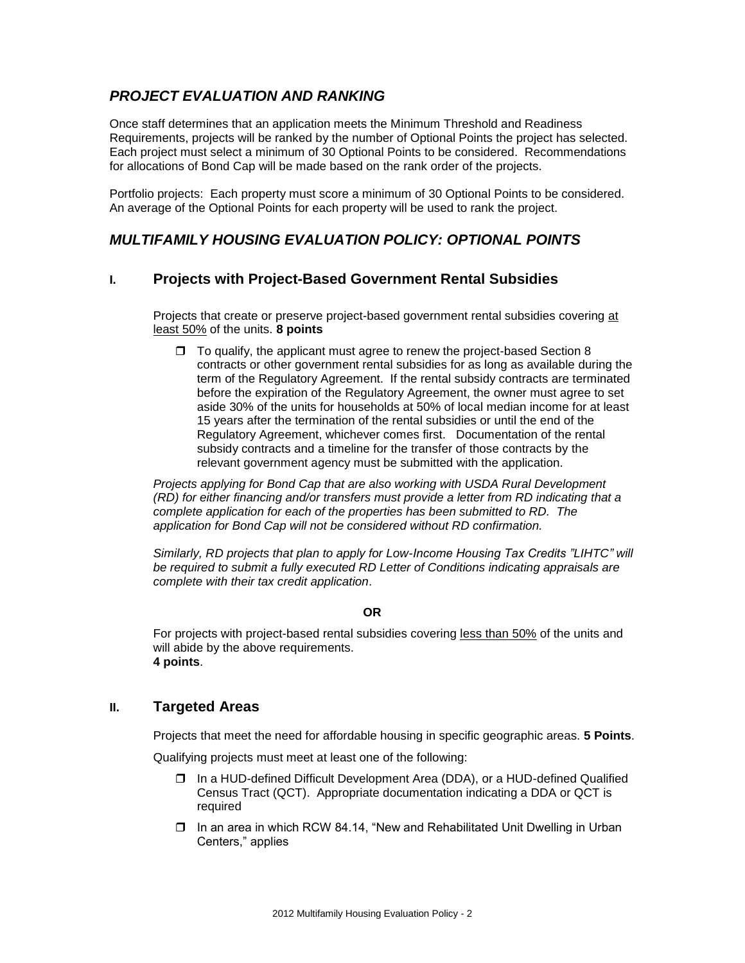# *PROJECT EVALUATION AND RANKING*

Once staff determines that an application meets the Minimum Threshold and Readiness Requirements, projects will be ranked by the number of Optional Points the project has selected. Each project must select a minimum of 30 Optional Points to be considered. Recommendations for allocations of Bond Cap will be made based on the rank order of the projects.

Portfolio projects: Each property must score a minimum of 30 Optional Points to be considered. An average of the Optional Points for each property will be used to rank the project.

# *MULTIFAMILY HOUSING EVALUATION POLICY: OPTIONAL POINTS*

# **I. Projects with Project-Based Government Rental Subsidies**

Projects that create or preserve project-based government rental subsidies covering at least 50% of the units. **8 points**

 $\Box$  To qualify, the applicant must agree to renew the project-based Section 8 contracts or other government rental subsidies for as long as available during the term of the Regulatory Agreement. If the rental subsidy contracts are terminated before the expiration of the Regulatory Agreement, the owner must agree to set aside 30% of the units for households at 50% of local median income for at least 15 years after the termination of the rental subsidies or until the end of the Regulatory Agreement, whichever comes first. Documentation of the rental subsidy contracts and a timeline for the transfer of those contracts by the relevant government agency must be submitted with the application.

*Projects applying for Bond Cap that are also working with USDA Rural Development (RD) for either financing and/or transfers must provide a letter from RD indicating that a complete application for each of the properties has been submitted to RD. The application for Bond Cap will not be considered without RD confirmation.* 

*Similarly, RD projects that plan to apply for Low-Income Housing Tax Credits "LIHTC" will be required to submit a fully executed RD Letter of Conditions indicating appraisals are complete with their tax credit application*.

#### **OR**

For projects with project-based rental subsidies covering less than 50% of the units and will abide by the above requirements. **4 points**.

# **II. Targeted Areas**

Projects that meet the need for affordable housing in specific geographic areas. **5 Points**.

Qualifying projects must meet at least one of the following:

- In a HUD-defined Difficult Development Area (DDA), or a HUD-defined Qualified Census Tract (QCT). Appropriate documentation indicating a DDA or QCT is required
- In an area in which RCW 84.14, "New and Rehabilitated Unit Dwelling in Urban Centers," applies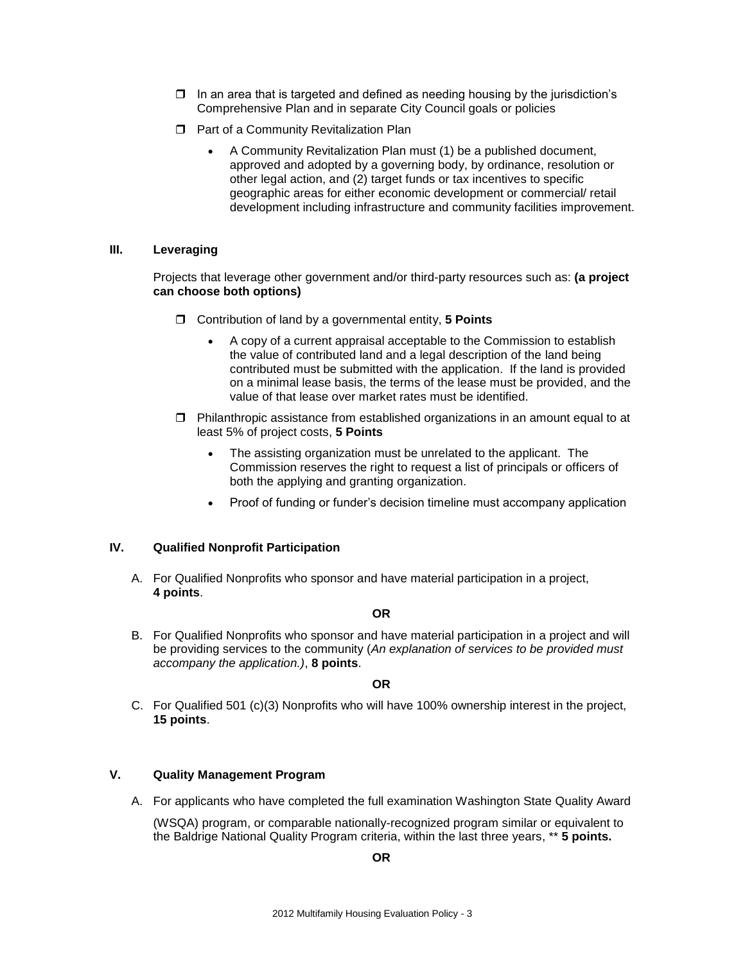- $\Box$  In an area that is targeted and defined as needing housing by the jurisdiction's Comprehensive Plan and in separate City Council goals or policies
- **D** Part of a Community Revitalization Plan
	- A Community Revitalization Plan must (1) be a published document, approved and adopted by a governing body, by ordinance, resolution or other legal action, and (2) target funds or tax incentives to specific geographic areas for either economic development or commercial/ retail development including infrastructure and community facilities improvement.

### **III. Leveraging**

Projects that leverage other government and/or third-party resources such as: **(a project can choose both options)**

- Contribution of land by a governmental entity, **5 Points**
	- A copy of a current appraisal acceptable to the Commission to establish the value of contributed land and a legal description of the land being contributed must be submitted with the application. If the land is provided on a minimal lease basis, the terms of the lease must be provided, and the value of that lease over market rates must be identified.
- $\Box$  Philanthropic assistance from established organizations in an amount equal to at least 5% of project costs, **5 Points**
	- The assisting organization must be unrelated to the applicant. The Commission reserves the right to request a list of principals or officers of both the applying and granting organization.
	- Proof of funding or funder's decision timeline must accompany application

# **IV. Qualified Nonprofit Participation**

A. For Qualified Nonprofits who sponsor and have material participation in a project, **4 points**.

#### **OR**

B. For Qualified Nonprofits who sponsor and have material participation in a project and will be providing services to the community (*An explanation of services to be provided must accompany the application.)*, **8 points**.

#### **OR**

C. For Qualified 501 (c)(3) Nonprofits who will have 100% ownership interest in the project, **15 points**.

#### **V. Quality Management Program**

A. For applicants who have completed the full examination Washington State Quality Award

(WSQA) program, or comparable nationally-recognized program similar or equivalent to the Baldrige National Quality Program criteria, within the last three years, \*\* **5 points.**

**OR**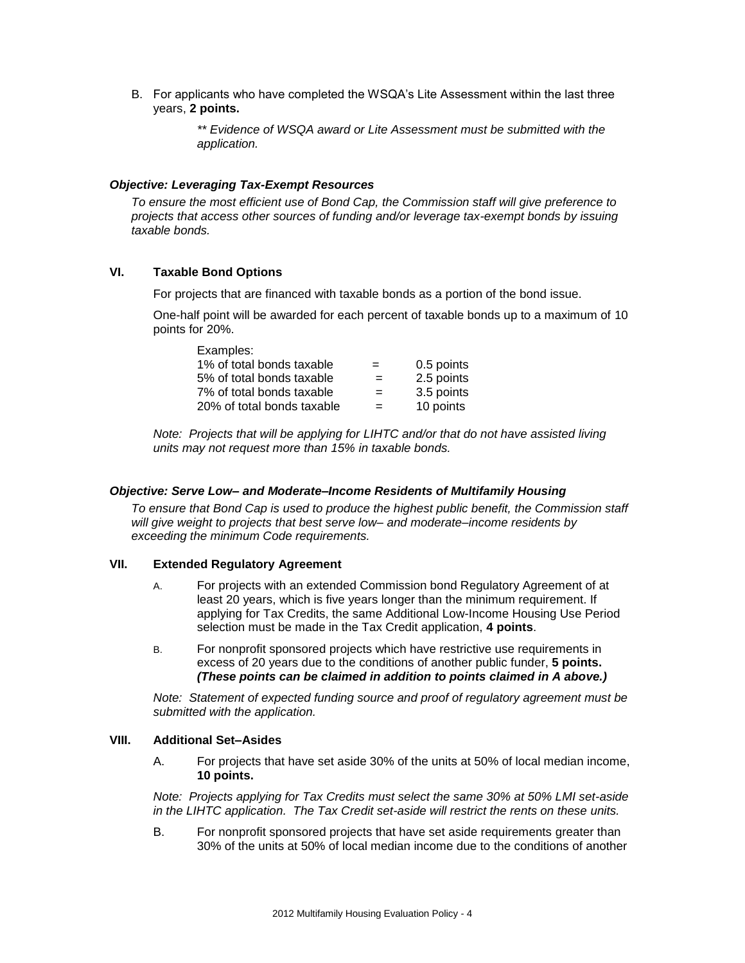B. For applicants who have completed the WSQA's Lite Assessment within the last three years, **2 points.**

> *\*\* Evidence of WSQA award or Lite Assessment must be submitted with the application.*

#### *Objective: Leveraging Tax-Exempt Resources*

*To ensure the most efficient use of Bond Cap, the Commission staff will give preference to projects that access other sources of funding and/or leverage tax-exempt bonds by issuing taxable bonds.*

#### **VI. Taxable Bond Options**

For projects that are financed with taxable bonds as a portion of the bond issue.

One-half point will be awarded for each percent of taxable bonds up to a maximum of 10 points for 20%.

| Examples:                  |     |            |
|----------------------------|-----|------------|
| 1% of total bonds taxable  | $=$ | 0.5 points |
| 5% of total bonds taxable  | $=$ | 2.5 points |
| 7% of total bonds taxable  | $=$ | 3.5 points |
| 20% of total bonds taxable | $=$ | 10 points  |

*Note: Projects that will be applying for LIHTC and/or that do not have assisted living units may not request more than 15% in taxable bonds.* 

#### *Objective: Serve Low– and Moderate–Income Residents of Multifamily Housing*

*To ensure that Bond Cap is used to produce the highest public benefit, the Commission staff will give weight to projects that best serve low– and moderate–income residents by exceeding the minimum Code requirements.*

#### **VII. Extended Regulatory Agreement**

- A. For projects with an extended Commission bond Regulatory Agreement of at least 20 years, which is five years longer than the minimum requirement. If applying for Tax Credits, the same Additional Low-Income Housing Use Period selection must be made in the Tax Credit application, **4 points**.
- B. For nonprofit sponsored projects which have restrictive use requirements in excess of 20 years due to the conditions of another public funder, **5 points.** *(These points can be claimed in addition to points claimed in A above.)*

*Note: Statement of expected funding source and proof of regulatory agreement must be submitted with the application.*

#### **VIII. Additional Set–Asides**

A. For projects that have set aside 30% of the units at 50% of local median income, **10 points.**

*Note: Projects applying for Tax Credits must select the same 30% at 50% LMI set-aside in the LIHTC application. The Tax Credit set-aside will restrict the rents on these units.* 

B. For nonprofit sponsored projects that have set aside requirements greater than 30% of the units at 50% of local median income due to the conditions of another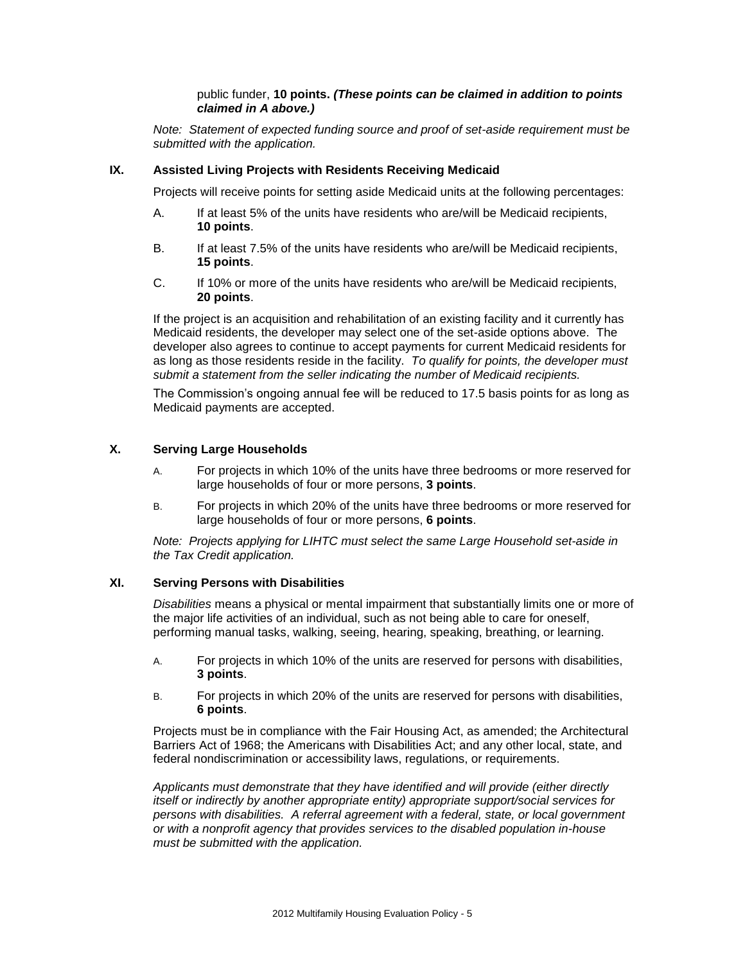#### public funder, **10 points.** *(These points can be claimed in addition to points claimed in A above.)*

*Note: Statement of expected funding source and proof of set-aside requirement must be submitted with the application.*

#### **IX. Assisted Living Projects with Residents Receiving Medicaid**

Projects will receive points for setting aside Medicaid units at the following percentages:

- A. If at least 5% of the units have residents who are/will be Medicaid recipients, **10 points**.
- B. If at least 7.5% of the units have residents who are/will be Medicaid recipients, **15 points**.
- C. If 10% or more of the units have residents who are/will be Medicaid recipients, **20 points**.

If the project is an acquisition and rehabilitation of an existing facility and it currently has Medicaid residents, the developer may select one of the set-aside options above. The developer also agrees to continue to accept payments for current Medicaid residents for as long as those residents reside in the facility. *To qualify for points, the developer must submit a statement from the seller indicating the number of Medicaid recipients.*

The Commission's ongoing annual fee will be reduced to 17.5 basis points for as long as Medicaid payments are accepted.

#### **X. Serving Large Households**

- A. For projects in which 10% of the units have three bedrooms or more reserved for large households of four or more persons, **3 points**.
- B. For projects in which 20% of the units have three bedrooms or more reserved for large households of four or more persons, **6 points**.

*Note: Projects applying for LIHTC must select the same Large Household set-aside in the Tax Credit application.*

#### **XI. Serving Persons with Disabilities**

*Disabilities* means a physical or mental impairment that substantially limits one or more of the major life activities of an individual, such as not being able to care for oneself, performing manual tasks, walking, seeing, hearing, speaking, breathing, or learning.

- A. For projects in which 10% of the units are reserved for persons with disabilities, **3 points**.
- B. For projects in which 20% of the units are reserved for persons with disabilities, **6 points**.

Projects must be in compliance with the Fair Housing Act, as amended; the Architectural Barriers Act of 1968; the Americans with Disabilities Act; and any other local, state, and federal nondiscrimination or accessibility laws, regulations, or requirements.

*Applicants must demonstrate that they have identified and will provide (either directly itself or indirectly by another appropriate entity) appropriate support/social services for persons with disabilities. A referral agreement with a federal, state, or local government or with a nonprofit agency that provides services to the disabled population in-house must be submitted with the application.*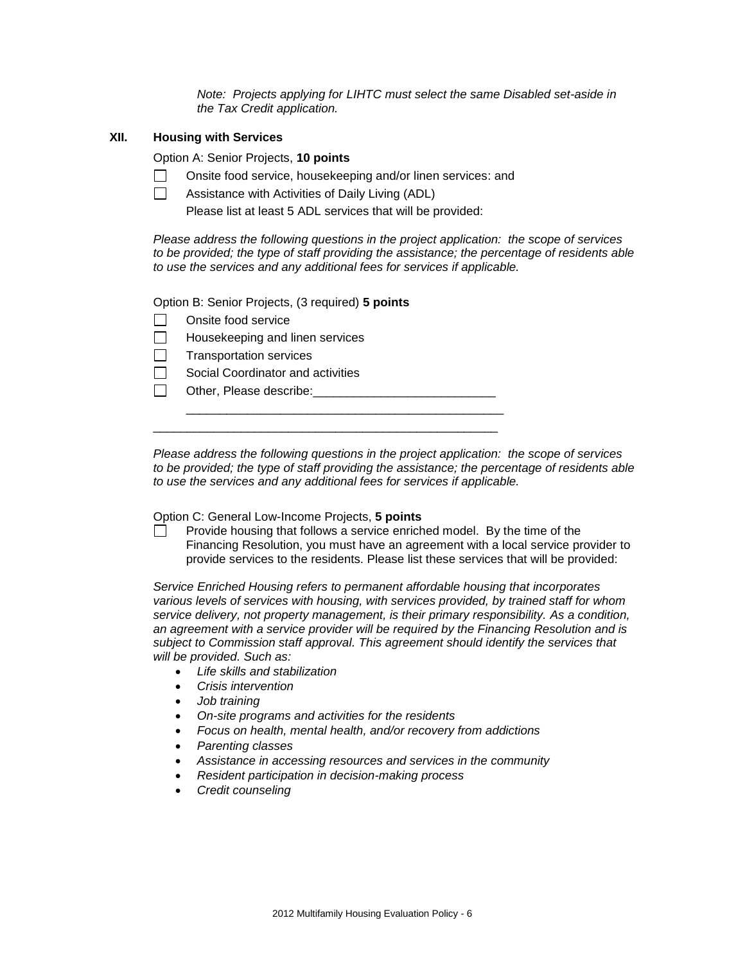*Note: Projects applying for LIHTC must select the same Disabled set-aside in the Tax Credit application.*

#### **XII. Housing with Services**

Option A: Senior Projects, **10 points**

- $\mathbb{R}^n$ Onsite food service, housekeeping and/or linen services: and
- $\Box$ Assistance with Activities of Daily Living (ADL)

Please list at least 5 ADL services that will be provided:

\_\_\_\_\_\_\_\_\_\_\_\_\_\_\_\_\_\_\_\_\_\_\_\_\_\_\_\_\_\_\_\_\_\_\_\_\_\_\_\_\_\_\_\_\_\_\_

\_\_\_\_\_\_\_\_\_\_\_\_\_\_\_\_\_\_\_\_\_\_\_\_\_\_\_\_\_\_\_\_\_\_\_\_\_\_\_\_\_\_\_\_\_\_\_\_\_\_\_

*Please address the following questions in the project application: the scope of services to be provided; the type of staff providing the assistance; the percentage of residents able to use the services and any additional fees for services if applicable.*

Option B: Senior Projects, (3 required) **5 points**

| $\Box$ Onsite food service             |
|----------------------------------------|
| $\Box$ Housekeeping and linen services |

- $\Box$ Transportation services
- П Social Coordinator and activities

 $\Box$ Other, Please describe:

*Please address the following questions in the project application: the scope of services to be provided; the type of staff providing the assistance; the percentage of residents able to use the services and any additional fees for services if applicable.*

Option C: General Low-Income Projects, **5 points**

Provide housing that follows a service enriched model. By the time of the Financing Resolution, you must have an agreement with a local service provider to provide services to the residents. Please list these services that will be provided:

*Service Enriched Housing refers to permanent affordable housing that incorporates various levels of services with housing, with services provided, by trained staff for whom service delivery, not property management, is their primary responsibility. As a condition, an agreement with a service provider will be required by the Financing Resolution and is subject to Commission staff approval. This agreement should identify the services that will be provided. Such as:* 

- *Life skills and stabilization*
- *Crisis intervention*
- *Job training*
- *On-site programs and activities for the residents*
- *Focus on health, mental health, and/or recovery from addictions*
- *Parenting classes*
- *Assistance in accessing resources and services in the community*
- *Resident participation in decision-making process*
- *Credit counseling*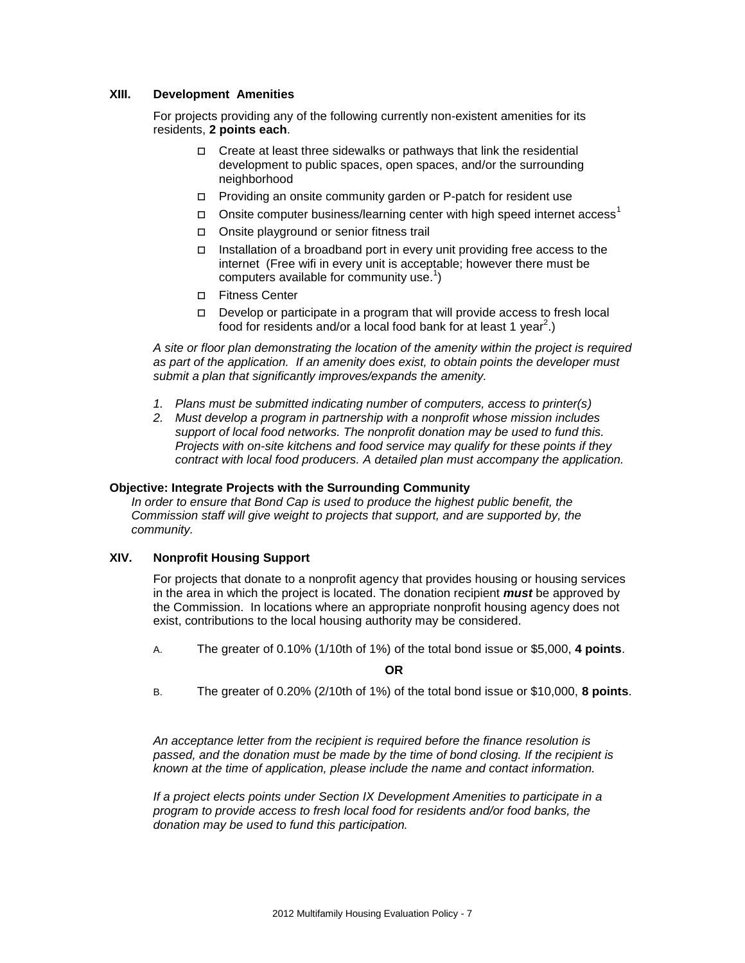#### **XIII. Development Amenities**

For projects providing any of the following currently non-existent amenities for its residents, **2 points each**.

- $\Box$  Create at least three sidewalks or pathways that link the residential development to public spaces, open spaces, and/or the surrounding neighborhood
- $\Box$  Providing an onsite community garden or P-patch for resident use
- Onsite computer business/learning center with high speed internet access<sup>1</sup>
- Onsite playground or senior fitness trail
- Installation of a broadband port in every unit providing free access to the internet (Free wifi in every unit is acceptable; however there must be computers available for community use.<sup>1</sup>)
- Fitness Center
- $\Box$  Develop or participate in a program that will provide access to fresh local food for residents and/or a local food bank for at least 1 year<sup>2</sup>.)

*A site or floor plan demonstrating the location of the amenity within the project is required as part of the application. If an amenity does exist, to obtain points the developer must submit a plan that significantly improves/expands the amenity.*

- *1. Plans must be submitted indicating number of computers, access to printer(s)*
- *2. Must develop a program in partnership with a nonprofit whose mission includes support of local food networks. The nonprofit donation may be used to fund this. Projects with on-site kitchens and food service may qualify for these points if they contract with local food producers. A detailed plan must accompany the application.*

#### **Objective: Integrate Projects with the Surrounding Community**

*In order to ensure that Bond Cap is used to produce the highest public benefit, the Commission staff will give weight to projects that support, and are supported by, the community.* 

#### **XIV. Nonprofit Housing Support**

For projects that donate to a nonprofit agency that provides housing or housing services in the area in which the project is located. The donation recipient *must* be approved by the Commission. In locations where an appropriate nonprofit housing agency does not exist, contributions to the local housing authority may be considered.

A. The greater of 0.10% (1/10th of 1%) of the total bond issue or \$5,000, **4 points**.

**OR**

B. The greater of 0.20% (2/10th of 1%) of the total bond issue or \$10,000, **8 points**.

*An acceptance letter from the recipient is required before the finance resolution is passed, and the donation must be made by the time of bond closing. If the recipient is known at the time of application, please include the name and contact information.*

*If a project elects points under Section IX Development Amenities to participate in a program to provide access to fresh local food for residents and/or food banks, the donation may be used to fund this participation.*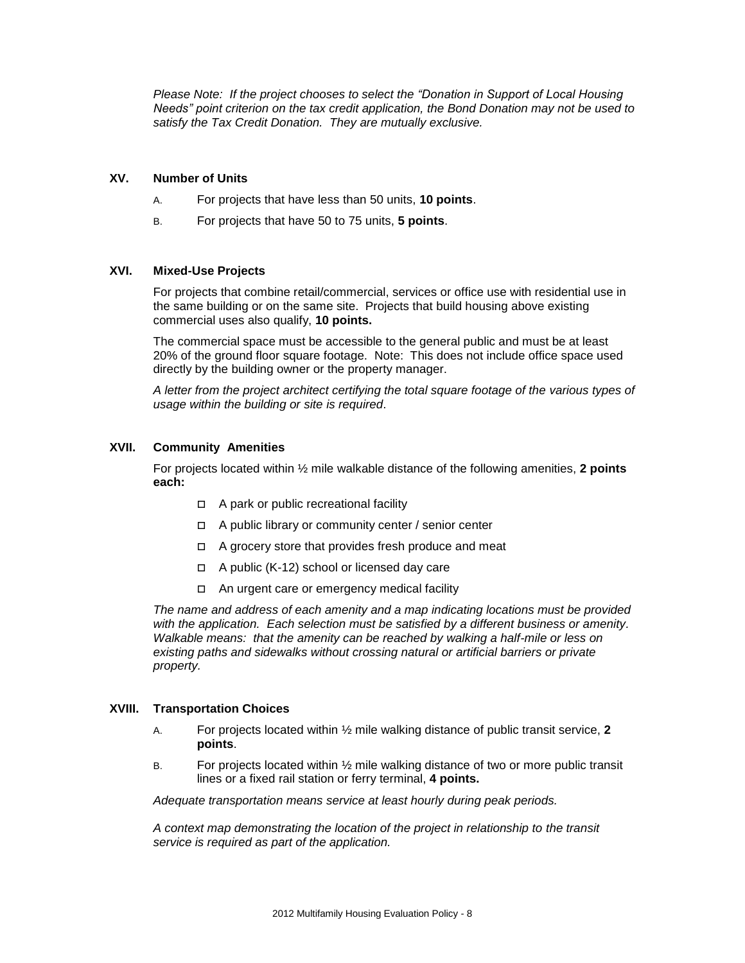*Please Note: If the project chooses to select the "Donation in Support of Local Housing Needs" point criterion on the tax credit application, the Bond Donation may not be used to satisfy the Tax Credit Donation. They are mutually exclusive.*

#### **XV. Number of Units**

- A. For projects that have less than 50 units, **10 points**.
- B. For projects that have 50 to 75 units, **5 points**.

#### **XVI. Mixed-Use Projects**

For projects that combine retail/commercial, services or office use with residential use in the same building or on the same site. Projects that build housing above existing commercial uses also qualify, **10 points.**

The commercial space must be accessible to the general public and must be at least 20% of the ground floor square footage. Note: This does not include office space used directly by the building owner or the property manager.

*A letter from the project architect certifying the total square footage of the various types of usage within the building or site is required*.

#### **XVII. Community Amenities**

For projects located within ½ mile walkable distance of the following amenities, **2 points each:** 

- □ A park or public recreational facility
- $\Box$  A public library or community center / senior center
- $\Box$  A grocery store that provides fresh produce and meat
- $\Box$  A public (K-12) school or licensed day care
- □ An urgent care or emergency medical facility

*The name and address of each amenity and a map indicating locations must be provided with the application. Each selection must be satisfied by a different business or amenity. Walkable means: that the amenity can be reached by walking a half-mile or less on existing paths and sidewalks without crossing natural or artificial barriers or private property.*

#### **XVIII. Transportation Choices**

- A. For projects located within ½ mile walking distance of public transit service, **2 points**.
- B. For projects located within ½ mile walking distance of two or more public transit lines or a fixed rail station or ferry terminal, **4 points.**

*Adequate transportation means service at least hourly during peak periods.* 

*A context map demonstrating the location of the project in relationship to the transit service is required as part of the application.*